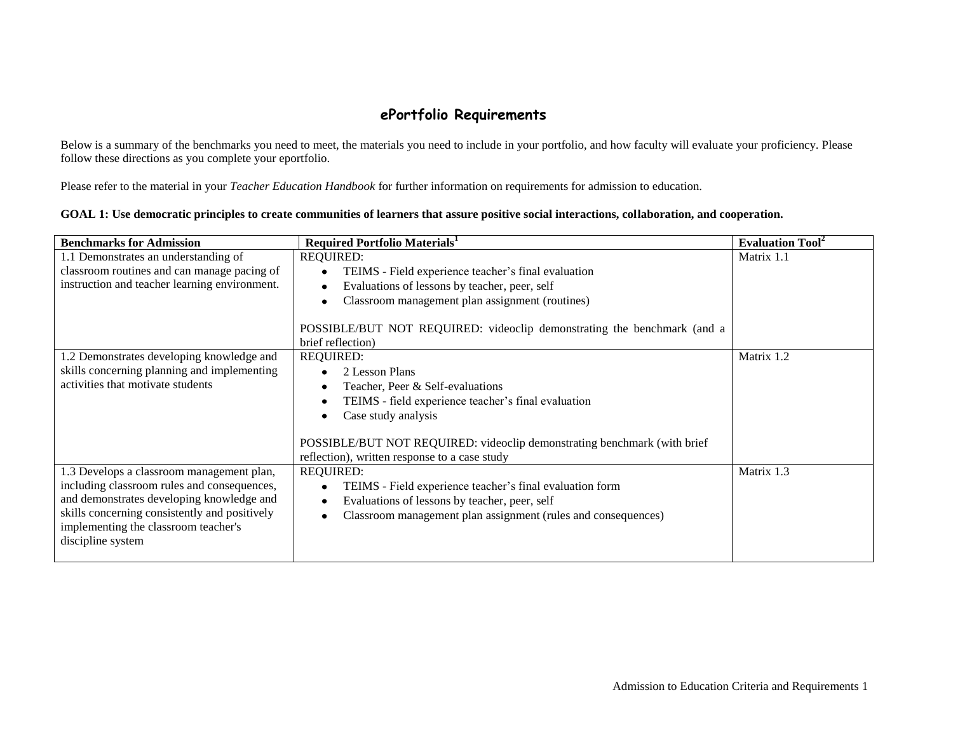## **ePortfolio Requirements**

Below is a summary of the benchmarks you need to meet, the materials you need to include in your portfolio, and how faculty will evaluate your proficiency. Please follow these directions as you complete your eportfolio.

Please refer to the material in your *Teacher Education Handbook* for further information on requirements for admission to education.

| GOAL 1: Use democratic principles to create communities of learners that assure positive social interactions, collaboration, and cooperation. |  |
|-----------------------------------------------------------------------------------------------------------------------------------------------|--|
|-----------------------------------------------------------------------------------------------------------------------------------------------|--|

| <b>Benchmarks for Admission</b>               | <b>Required Portfolio Materials</b>                                                                                       | <b>Evaluation Tool</b> <sup>2</sup> |
|-----------------------------------------------|---------------------------------------------------------------------------------------------------------------------------|-------------------------------------|
| 1.1 Demonstrates an understanding of          | <b>REQUIRED:</b>                                                                                                          | Matrix 1.1                          |
| classroom routines and can manage pacing of   | TEIMS - Field experience teacher's final evaluation                                                                       |                                     |
| instruction and teacher learning environment. | Evaluations of lessons by teacher, peer, self                                                                             |                                     |
|                                               | Classroom management plan assignment (routines)                                                                           |                                     |
|                                               | POSSIBLE/BUT NOT REQUIRED: videoclip demonstrating the benchmark (and a<br>brief reflection)                              |                                     |
| 1.2 Demonstrates developing knowledge and     | <b>REQUIRED:</b>                                                                                                          | Matrix 1.2                          |
| skills concerning planning and implementing   | 2 Lesson Plans                                                                                                            |                                     |
| activities that motivate students             | Teacher, Peer & Self-evaluations                                                                                          |                                     |
|                                               | TEIMS - field experience teacher's final evaluation                                                                       |                                     |
|                                               | Case study analysis                                                                                                       |                                     |
|                                               | POSSIBLE/BUT NOT REQUIRED: videoclip demonstrating benchmark (with brief<br>reflection), written response to a case study |                                     |
| 1.3 Develops a classroom management plan,     | <b>REQUIRED:</b>                                                                                                          | Matrix 1.3                          |
| including classroom rules and consequences,   | TEIMS - Field experience teacher's final evaluation form                                                                  |                                     |
| and demonstrates developing knowledge and     | Evaluations of lessons by teacher, peer, self                                                                             |                                     |
| skills concerning consistently and positively | Classroom management plan assignment (rules and consequences)                                                             |                                     |
| implementing the classroom teacher's          |                                                                                                                           |                                     |
| discipline system                             |                                                                                                                           |                                     |
|                                               |                                                                                                                           |                                     |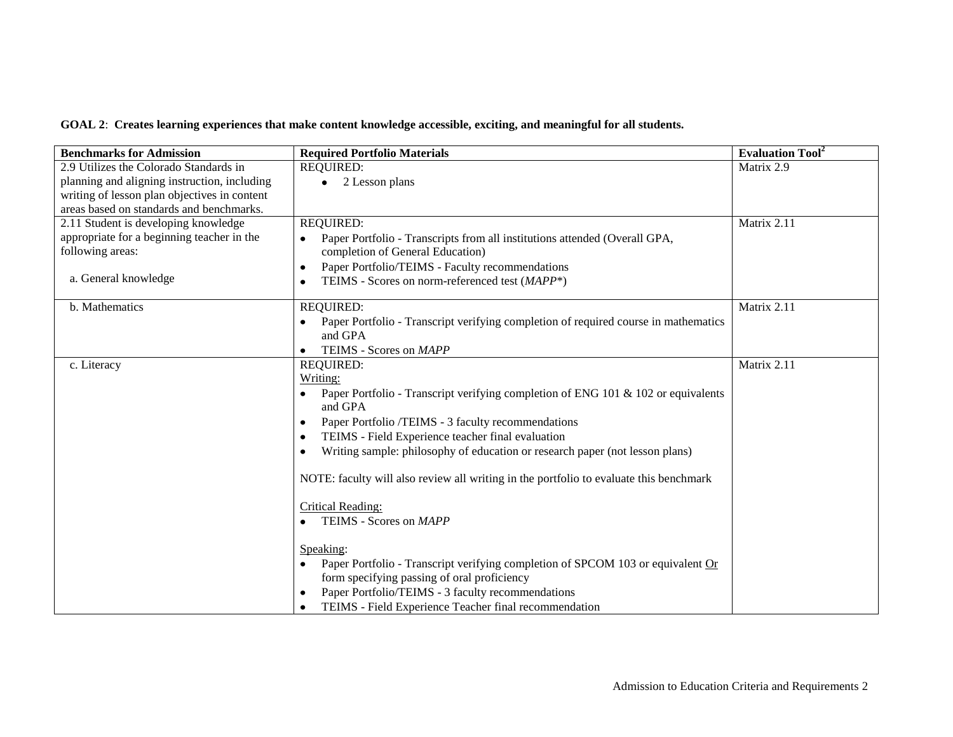## **GOAL 2**: **Creates learning experiences that make content knowledge accessible, exciting, and meaningful for all students.**

| <b>Benchmarks for Admission</b>              | <b>Required Portfolio Materials</b>                                                                 | <b>Evaluation Tool</b> <sup>2</sup> |
|----------------------------------------------|-----------------------------------------------------------------------------------------------------|-------------------------------------|
| 2.9 Utilizes the Colorado Standards in       | <b>REQUIRED:</b>                                                                                    | Matrix 2.9                          |
| planning and aligning instruction, including | 2 Lesson plans                                                                                      |                                     |
| writing of lesson plan objectives in content |                                                                                                     |                                     |
| areas based on standards and benchmarks.     |                                                                                                     |                                     |
| 2.11 Student is developing knowledge         | <b>REQUIRED:</b>                                                                                    | Matrix 2.11                         |
| appropriate for a beginning teacher in the   | Paper Portfolio - Transcripts from all institutions attended (Overall GPA,                          |                                     |
| following areas:                             | completion of General Education)                                                                    |                                     |
|                                              | Paper Portfolio/TEIMS - Faculty recommendations<br>$\bullet$                                        |                                     |
| a. General knowledge                         | TEIMS - Scores on norm-referenced test (MAPP*)<br>$\bullet$                                         |                                     |
| b. Mathematics                               | <b>REQUIRED:</b>                                                                                    | Matrix 2.11                         |
|                                              | Paper Portfolio - Transcript verifying completion of required course in mathematics<br>٠<br>and GPA |                                     |
|                                              | TEIMS - Scores on MAPP                                                                              |                                     |
| c. Literacy                                  | <b>REQUIRED:</b>                                                                                    | Matrix 2.11                         |
|                                              | Writing:                                                                                            |                                     |
|                                              | Paper Portfolio - Transcript verifying completion of ENG 101 & 102 or equivalents<br>and GPA        |                                     |
|                                              | Paper Portfolio /TEIMS - 3 faculty recommendations<br>٠                                             |                                     |
|                                              | TEIMS - Field Experience teacher final evaluation<br>$\bullet$                                      |                                     |
|                                              | Writing sample: philosophy of education or research paper (not lesson plans)<br>٠                   |                                     |
|                                              |                                                                                                     |                                     |
|                                              | NOTE: faculty will also review all writing in the portfolio to evaluate this benchmark              |                                     |
|                                              | Critical Reading:                                                                                   |                                     |
|                                              | TEIMS - Scores on MAPP                                                                              |                                     |
|                                              |                                                                                                     |                                     |
|                                              | Speaking:                                                                                           |                                     |
|                                              | Paper Portfolio - Transcript verifying completion of SPCOM 103 or equivalent Or<br>$\bullet$        |                                     |
|                                              | form specifying passing of oral proficiency                                                         |                                     |
|                                              | Paper Portfolio/TEIMS - 3 faculty recommendations<br>٠                                              |                                     |
|                                              | TEIMS - Field Experience Teacher final recommendation<br>$\bullet$                                  |                                     |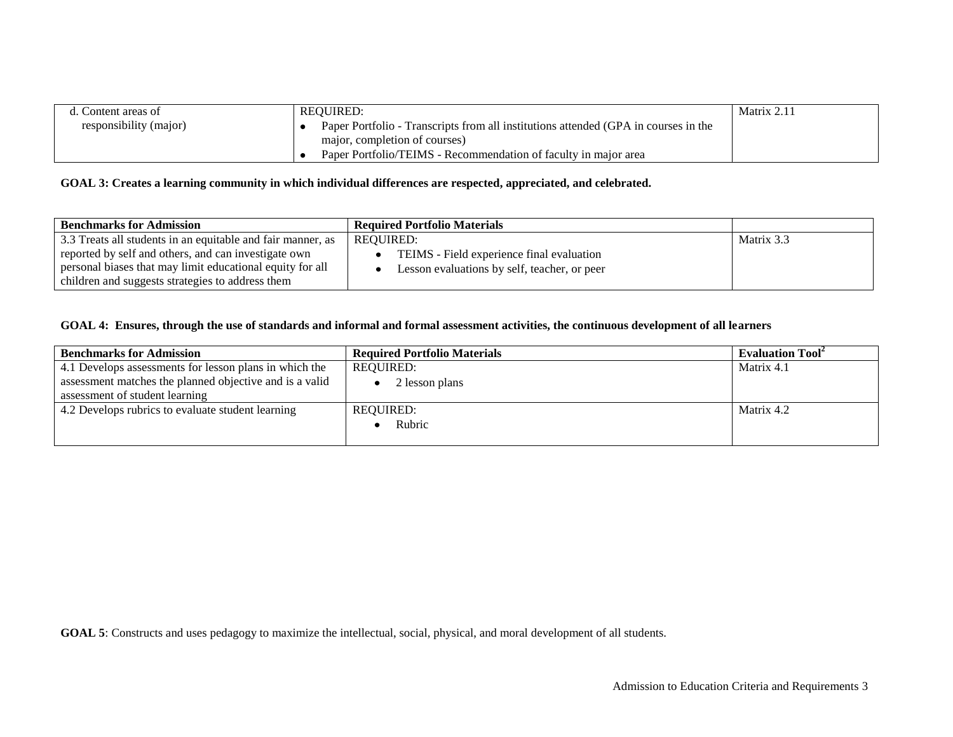| d. Content areas of    | REOUIRED:                                                                           | Matrix 2.11 |
|------------------------|-------------------------------------------------------------------------------------|-------------|
| responsibility (major) | Paper Portfolio - Transcripts from all institutions attended (GPA in courses in the |             |
|                        | major, completion of courses)                                                       |             |
|                        | Paper Portfolio/TEIMS - Recommendation of faculty in major area                     |             |

## **GOAL 3: Creates a learning community in which individual differences are respected, appreciated, and celebrated.**

| <b>Benchmarks for Admission</b>                             | <b>Required Portfolio Materials</b>          |            |
|-------------------------------------------------------------|----------------------------------------------|------------|
| 3.3 Treats all students in an equitable and fair manner, as | REOUIRED:                                    | Matrix 3.3 |
| reported by self and others, and can investigate own        | TEIMS - Field experience final evaluation    |            |
| personal biases that may limit educational equity for all   | Lesson evaluations by self, teacher, or peer |            |
| children and suggests strategies to address them            |                                              |            |

## **GOAL 4: Ensures, through the use of standards and informal and formal assessment activities, the continuous development of all learners**

| <b>Benchmarks for Admission</b>                         | <b>Required Portfolio Materials</b> | <b>Evaluation Tool</b> |
|---------------------------------------------------------|-------------------------------------|------------------------|
| 4.1 Develops assessments for lesson plans in which the  | REOUIRED:                           | Matrix 4.1             |
| assessment matches the planned objective and is a valid | 2 lesson plans                      |                        |
| assessment of student learning                          |                                     |                        |
| 4.2 Develops rubrics to evaluate student learning       | <b>REQUIRED:</b>                    | Matrix 4.2             |
|                                                         | Rubric                              |                        |
|                                                         |                                     |                        |

**GOAL 5**: Constructs and uses pedagogy to maximize the intellectual, social, physical, and moral development of all students.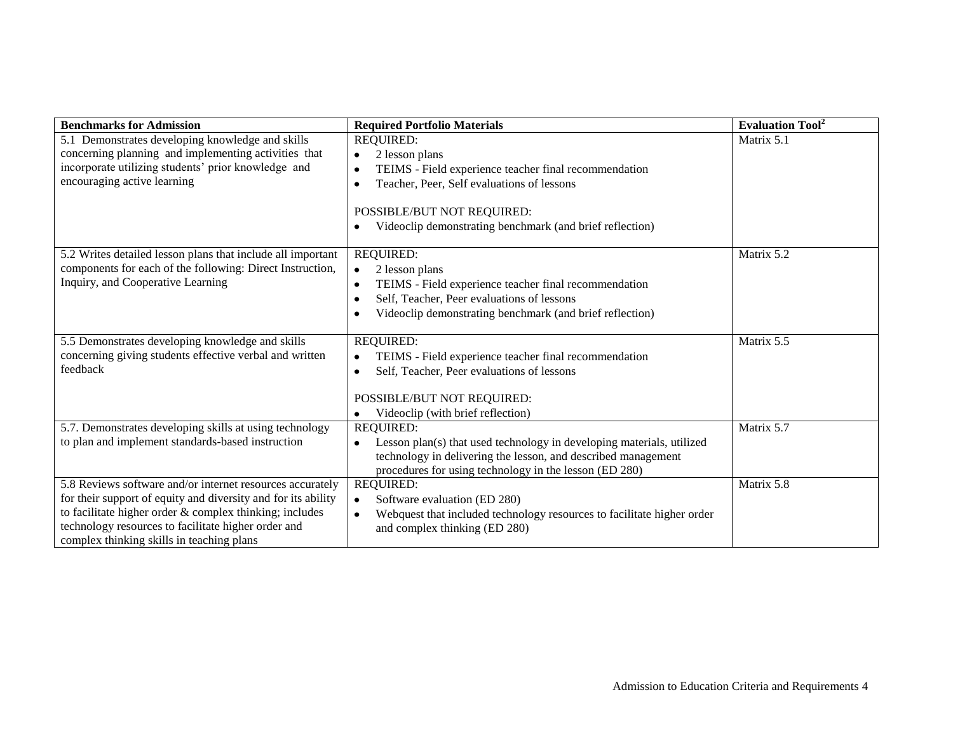| <b>Benchmarks for Admission</b>                                     | <b>Required Portfolio Materials</b>                                                    | <b>Evaluation Tool</b> <sup>2</sup> |
|---------------------------------------------------------------------|----------------------------------------------------------------------------------------|-------------------------------------|
| 5.1 Demonstrates developing knowledge and skills                    | <b>REQUIRED:</b>                                                                       | Matrix 5.1                          |
| concerning planning and implementing activities that                | 2 lesson plans<br>$\bullet$                                                            |                                     |
| incorporate utilizing students' prior knowledge and                 | TEIMS - Field experience teacher final recommendation<br>$\bullet$                     |                                     |
| encouraging active learning                                         | Teacher, Peer, Self evaluations of lessons<br>$\bullet$                                |                                     |
|                                                                     | POSSIBLE/BUT NOT REQUIRED:<br>Videoclip demonstrating benchmark (and brief reflection) |                                     |
| 5.2 Writes detailed lesson plans that include all important         | <b>REQUIRED:</b>                                                                       | Matrix 5.2                          |
| components for each of the following: Direct Instruction,           | 2 lesson plans<br>$\bullet$                                                            |                                     |
| Inquiry, and Cooperative Learning                                   | TEIMS - Field experience teacher final recommendation<br>$\bullet$                     |                                     |
|                                                                     | Self, Teacher, Peer evaluations of lessons<br>$\bullet$                                |                                     |
|                                                                     | Videoclip demonstrating benchmark (and brief reflection)<br>$\bullet$                  |                                     |
|                                                                     |                                                                                        |                                     |
| 5.5 Demonstrates developing knowledge and skills                    | <b>REQUIRED:</b>                                                                       | Matrix 5.5                          |
| concerning giving students effective verbal and written<br>feedback | TEIMS - Field experience teacher final recommendation<br>$\bullet$                     |                                     |
|                                                                     | Self, Teacher, Peer evaluations of lessons<br>$\bullet$                                |                                     |
|                                                                     | POSSIBLE/BUT NOT REQUIRED:                                                             |                                     |
|                                                                     | Videoclip (with brief reflection)<br>$\bullet$                                         |                                     |
| 5.7. Demonstrates developing skills at using technology             | <b>REQUIRED:</b>                                                                       | Matrix 5.7                          |
| to plan and implement standards-based instruction                   | Lesson plan(s) that used technology in developing materials, utilized<br>$\bullet$     |                                     |
|                                                                     | technology in delivering the lesson, and described management                          |                                     |
|                                                                     | procedures for using technology in the lesson (ED 280)                                 |                                     |
| 5.8 Reviews software and/or internet resources accurately           | <b>REQUIRED:</b>                                                                       | Matrix 5.8                          |
| for their support of equity and diversity and for its ability       | Software evaluation (ED 280)<br>$\bullet$                                              |                                     |
| to facilitate higher order $&$ complex thinking; includes           | Webquest that included technology resources to facilitate higher order<br>$\bullet$    |                                     |
| technology resources to facilitate higher order and                 | and complex thinking (ED 280)                                                          |                                     |
| complex thinking skills in teaching plans                           |                                                                                        |                                     |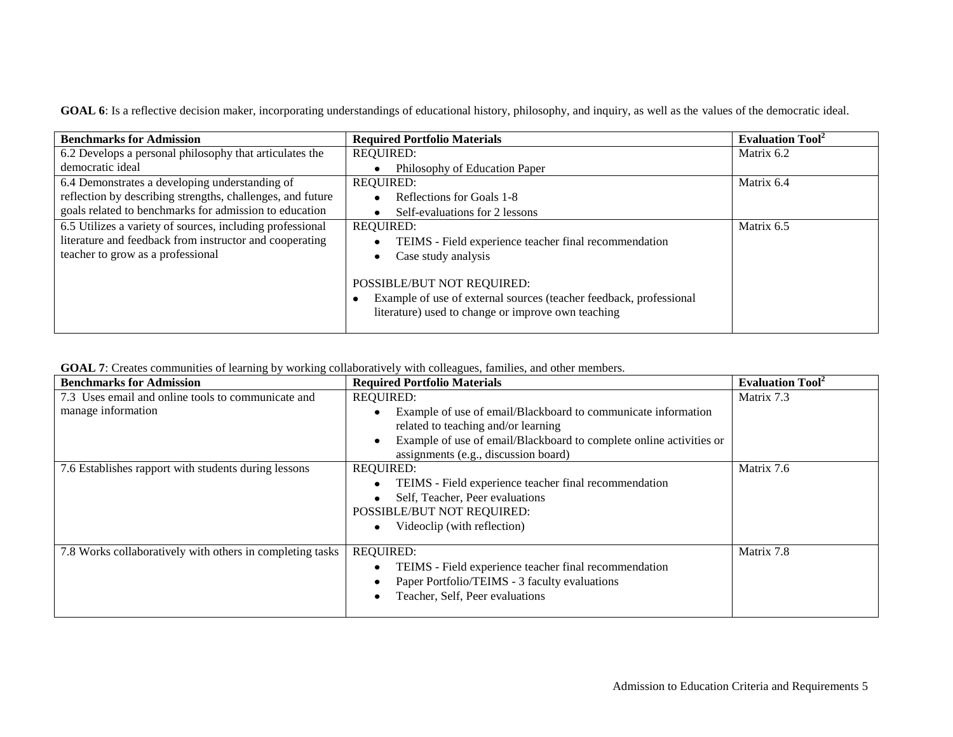| GOAL 6: Is a reflective decision maker, incorporating understandings of educational history, philosophy, and inquiry, as well as the values of the democratic ideal. |  |
|----------------------------------------------------------------------------------------------------------------------------------------------------------------------|--|
|----------------------------------------------------------------------------------------------------------------------------------------------------------------------|--|

| <b>Benchmarks for Admission</b>                            | <b>Required Portfolio Materials</b>                                                                                                                    | <b>Evaluation Tool</b> <sup>2</sup> |
|------------------------------------------------------------|--------------------------------------------------------------------------------------------------------------------------------------------------------|-------------------------------------|
| 6.2 Develops a personal philosophy that articulates the    | <b>REQUIRED:</b>                                                                                                                                       | Matrix 6.2                          |
| democratic ideal                                           | Philosophy of Education Paper                                                                                                                          |                                     |
| 6.4 Demonstrates a developing understanding of             | <b>REQUIRED:</b>                                                                                                                                       | Matrix 6.4                          |
| reflection by describing strengths, challenges, and future | Reflections for Goals 1-8                                                                                                                              |                                     |
| goals related to benchmarks for admission to education     | Self-evaluations for 2 lessons                                                                                                                         |                                     |
| 6.5 Utilizes a variety of sources, including professional  | <b>REQUIRED:</b>                                                                                                                                       | Matrix 6.5                          |
| literature and feedback from instructor and cooperating    | TEIMS - Field experience teacher final recommendation                                                                                                  |                                     |
| teacher to grow as a professional                          | Case study analysis                                                                                                                                    |                                     |
|                                                            | POSSIBLE/BUT NOT REQUIRED:<br>Example of use of external sources (teacher feedback, professional<br>literature) used to change or improve own teaching |                                     |

|  |  | GOAL 7: Creates communities of learning by working collaboratively with colleagues, families, and other members. |
|--|--|------------------------------------------------------------------------------------------------------------------|
|  |  |                                                                                                                  |

| <b>Benchmarks for Admission</b>                           | <b>Required Portfolio Materials</b>                                 | <b>Evaluation Tool</b> <sup>2</sup> |
|-----------------------------------------------------------|---------------------------------------------------------------------|-------------------------------------|
| 7.3 Uses email and online tools to communicate and        | <b>REQUIRED:</b>                                                    | Matrix 7.3                          |
| manage information                                        | Example of use of email/Blackboard to communicate information       |                                     |
|                                                           | related to teaching and/or learning                                 |                                     |
|                                                           | Example of use of email/Blackboard to complete online activities or |                                     |
|                                                           | assignments (e.g., discussion board)                                |                                     |
| 7.6 Establishes rapport with students during lessons      | <b>REQUIRED:</b>                                                    | Matrix 7.6                          |
|                                                           | TEIMS - Field experience teacher final recommendation               |                                     |
|                                                           | Self, Teacher, Peer evaluations                                     |                                     |
|                                                           | POSSIBLE/BUT NOT REQUIRED:                                          |                                     |
|                                                           | Videoclip (with reflection)                                         |                                     |
|                                                           |                                                                     |                                     |
| 7.8 Works collaboratively with others in completing tasks | <b>REQUIRED:</b>                                                    | Matrix 7.8                          |
|                                                           | TEIMS - Field experience teacher final recommendation               |                                     |
|                                                           | Paper Portfolio/TEIMS - 3 faculty evaluations                       |                                     |
|                                                           | Teacher, Self, Peer evaluations                                     |                                     |
|                                                           |                                                                     |                                     |